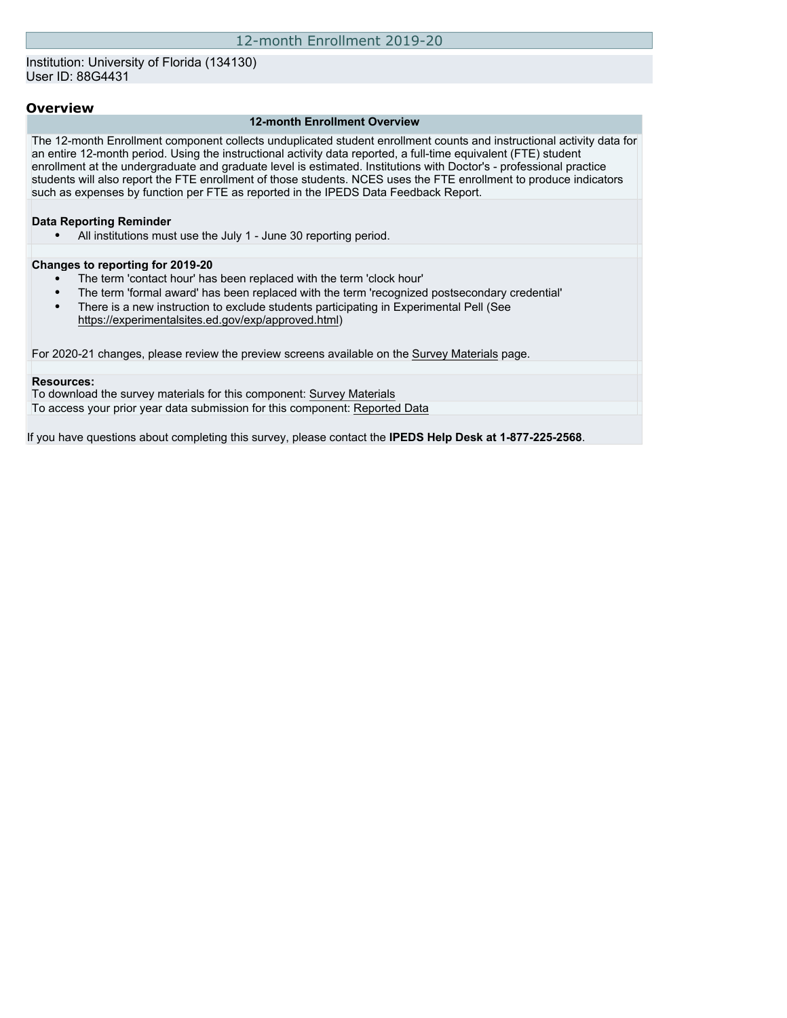## Institution: University of Florida (134130) User ID: 88G4431

## **Overview**

#### **12-month Enrollment Overview**

The 12-month Enrollment component collects unduplicated student enrollment counts and instructional activity data for an entire 12-month period. Using the instructional activity data reported, a full-time equivalent (FTE) student enrollment at the undergraduate and graduate level is estimated. Institutions with Doctor's - professional practice students will also report the FTE enrollment of those students. NCES uses the FTE enrollment to produce indicators such as expenses by function per FTE as reported in the IPEDS Data Feedback Report.

#### **Data Reporting Reminder**

• All institutions must use the July 1 - June 30 reporting period.

#### **Changes to reporting for 2019-20**

- The term 'contact hour' has been replaced with the term 'clock hour'
- The term 'formal award' has been replaced with the term 'recognized postsecondary credential'
- There is a new instruction to exclude students participating in Experimental Pell (See [https://experimentalsites.ed.gov/exp/approved.html\)](https://experimentalsites.ed.gov/exp/approved.html)

For 2020-21 changes, please review the preview screens available on the [Survey Materials](https://surveys.nces.ed.gov/ipeds/VisIndex.aspx) page.

#### **Resources:**

To download the survey materials for this component: [Survey Materials](https://surveys.nces.ed.gov/ipeds/VisIndex.aspx) To access your prior year data submission for this component: [Reported Data](http://192.168.102.153/ipeds/PriorYearDataRedirect.aspx?survey_id=9)

If you have questions about completing this survey, please contact the **IPEDS Help Desk at 1-877-225-2568**.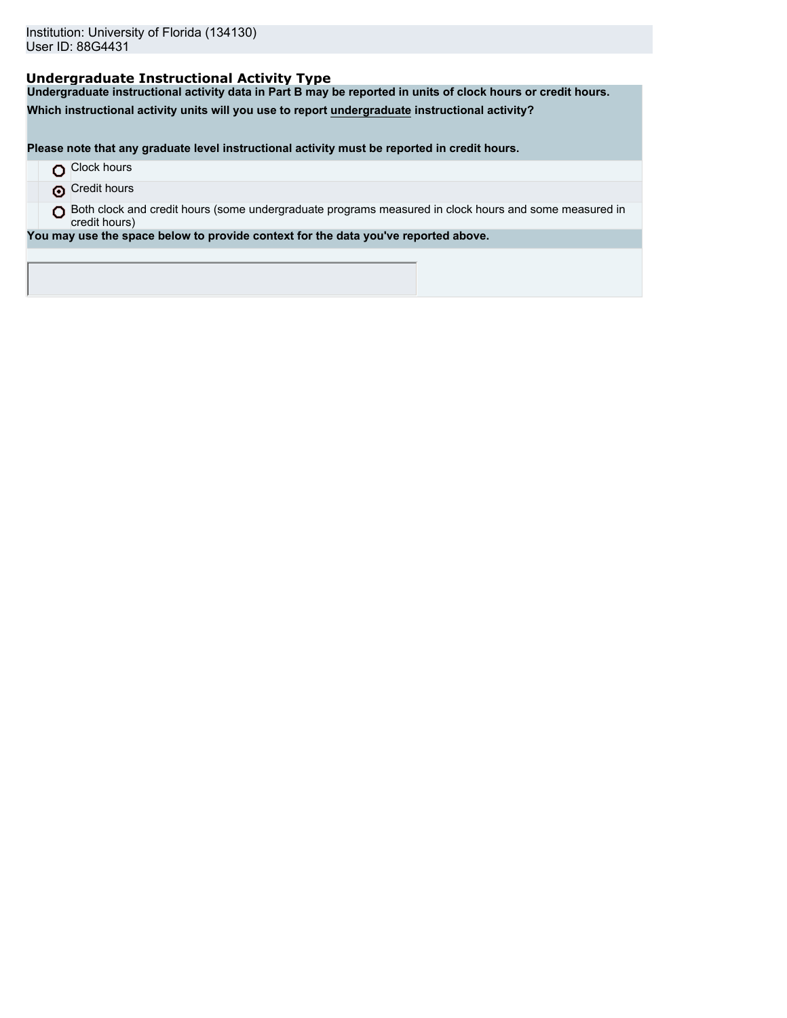# **Undergraduate Instructional Activity Type**

**Undergraduate instructional activity data in Part B may be reported in units of clock hours or credit hours.**

**Which instructional activity units will you use to report undergraduate instructional activity?**

**Please note that any graduate level instructional activity must be reported in credit hours.**

|  | Clock hours |  |
|--|-------------|--|
|--|-------------|--|

**O** Credit hours

O Both clock and credit hours (some undergraduate programs measured in clock hours and some measured in credit hours)

**You may use the space below to provide context for the data you've reported above.**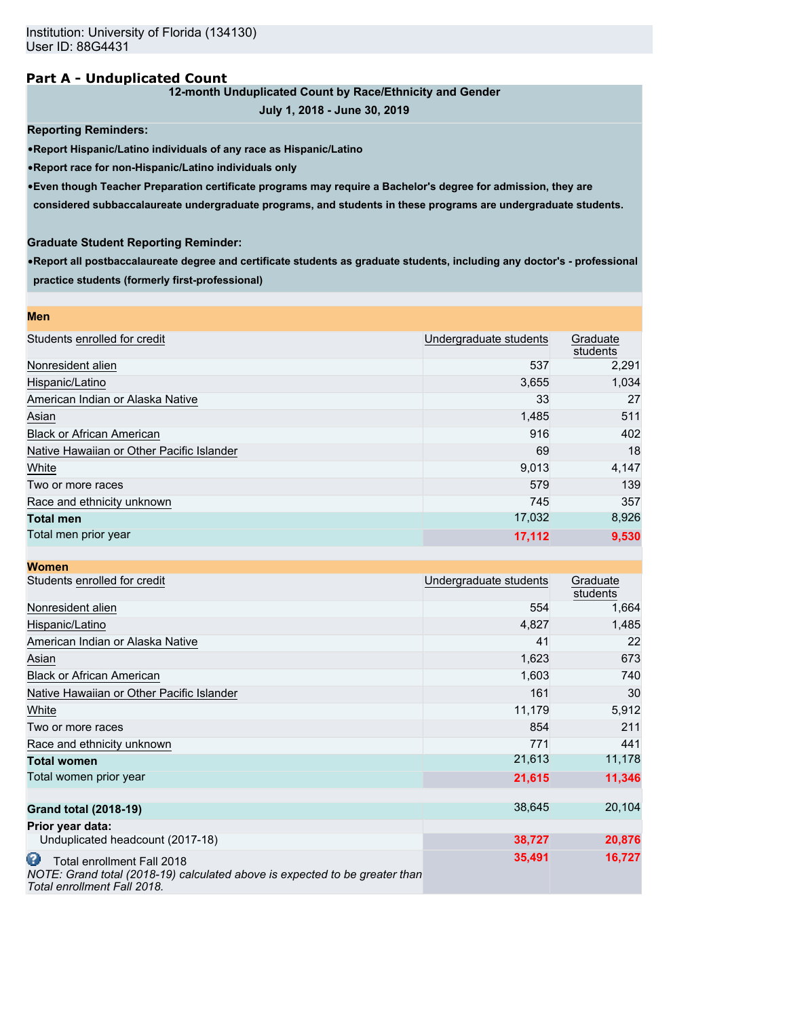## **Part A - Unduplicated Count**

## **12-month Unduplicated Count by Race/Ethnicity and Gender**

**July 1, 2018 - June 30, 2019**

### **Reporting Reminders:**

•**Report Hispanic/Latino individuals of any race as Hispanic/Latino**

•**Report race for non-Hispanic/Latino individuals only**

•**Even though Teacher Preparation certificate programs may require a Bachelor's degree for admission, they are**

**considered subbaccalaureate undergraduate programs, and students in these programs are undergraduate students.**

### **Graduate Student Reporting Reminder:**

•**Report all postbaccalaureate degree and certificate students as graduate students, including any doctor's - professional practice students (formerly first-professional)**

| <b>Men</b>                                |                        |                      |
|-------------------------------------------|------------------------|----------------------|
| Students enrolled for credit              | Undergraduate students | Graduate<br>students |
| Nonresident alien                         | 537                    | 2,291                |
| Hispanic/Latino                           | 3,655                  | 1,034                |
| American Indian or Alaska Native          | 33                     | 27                   |
| Asian                                     | 1,485                  | 511                  |
| <b>Black or African American</b>          | 916                    | 402                  |
| Native Hawaiian or Other Pacific Islander | 69                     | 18                   |
| White                                     | 9,013                  | 4,147                |
| Two or more races                         | 579                    | 139                  |
| Race and ethnicity unknown                | 745                    | 357                  |
| <b>Total men</b>                          | 17,032                 | 8,926                |
| Total men prior year                      | 17,112                 | 9,530                |

| <b>Women</b>                                                                                                                                  |                        |                      |
|-----------------------------------------------------------------------------------------------------------------------------------------------|------------------------|----------------------|
| Students enrolled for credit                                                                                                                  | Undergraduate students | Graduate<br>students |
| Nonresident alien                                                                                                                             | 554                    | 1,664                |
| Hispanic/Latino                                                                                                                               | 4,827                  | 1,485                |
| American Indian or Alaska Native                                                                                                              | 41                     | 22                   |
| Asian                                                                                                                                         | 1,623                  | 673                  |
| <b>Black or African American</b>                                                                                                              | 1,603                  | 740                  |
| Native Hawaiian or Other Pacific Islander                                                                                                     | 161                    | 30                   |
| White                                                                                                                                         | 11,179                 | 5,912                |
| Two or more races                                                                                                                             | 854                    | 211                  |
| Race and ethnicity unknown                                                                                                                    | 771                    | 441                  |
| <b>Total women</b>                                                                                                                            | 21,613                 | 11,178               |
| Total women prior year                                                                                                                        | 21,615                 | 11,346               |
| <b>Grand total (2018-19)</b>                                                                                                                  | 38,645                 | 20,104               |
| Prior year data:                                                                                                                              |                        |                      |
| Unduplicated headcount (2017-18)                                                                                                              | 38,727                 | 20,876               |
| ω<br>Total enrollment Fall 2018<br>NOTE: Grand total (2018-19) calculated above is expected to be greater than<br>Total enrollment Fall 2018. | 35,491                 | 16,727               |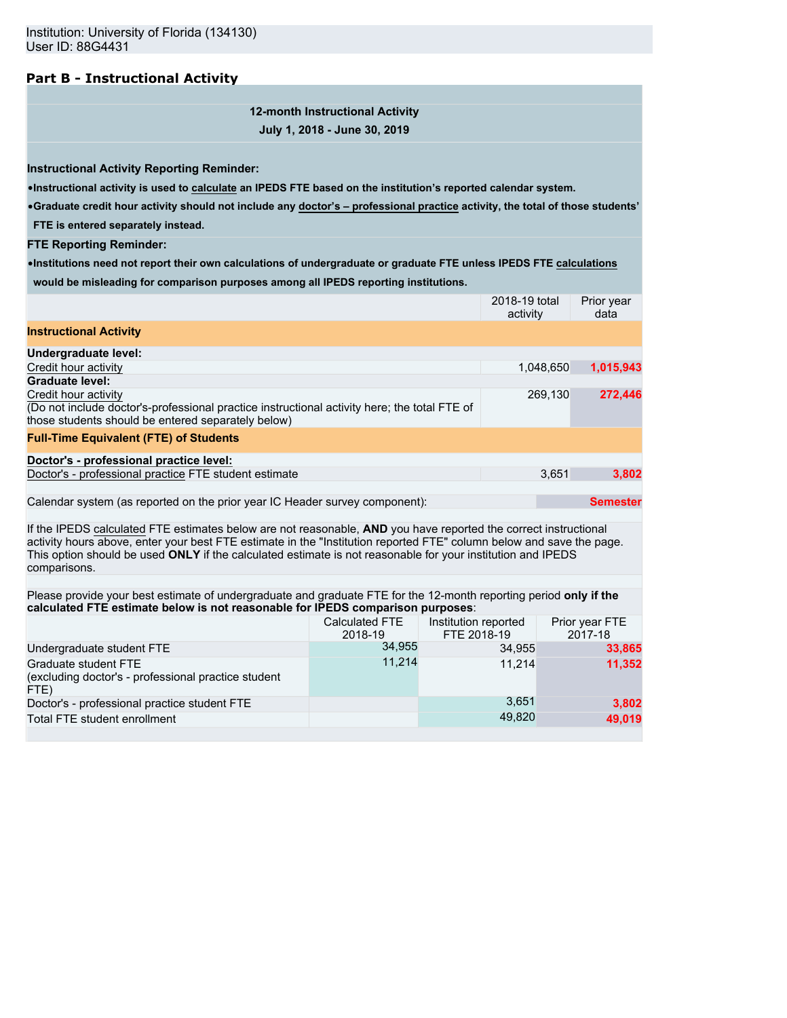# **Part B - Instructional Activity**

# **12-month Instructional Activity July 1, 2018 - June 30, 2019**

**Instructional Activity Reporting Reminder:**

•**Instructional activity is used to calculate an IPEDS FTE based on the institution's reported calendar system.**

•**Graduate credit hour activity should not include any doctor's – professional practice activity, the total of those students' FTE is entered separately instead.**

**FTE Reporting Reminder:**

•**Institutions need not report their own calculations of undergraduate or graduate FTE unless IPEDS FTE calculations would be misleading for comparison purposes among all IPEDS reporting institutions.**

|                                                                                                                                                                                                                                                                                                                                                                        |                                  | 2018-19 total<br>activity           |           | Prior year<br>data        |
|------------------------------------------------------------------------------------------------------------------------------------------------------------------------------------------------------------------------------------------------------------------------------------------------------------------------------------------------------------------------|----------------------------------|-------------------------------------|-----------|---------------------------|
| <b>Instructional Activity</b>                                                                                                                                                                                                                                                                                                                                          |                                  |                                     |           |                           |
| Undergraduate level:                                                                                                                                                                                                                                                                                                                                                   |                                  |                                     |           |                           |
| Credit hour activity                                                                                                                                                                                                                                                                                                                                                   |                                  |                                     | 1,048,650 | 1,015,943                 |
| <b>Graduate level:</b>                                                                                                                                                                                                                                                                                                                                                 |                                  |                                     |           |                           |
| Credit hour activity<br>(Do not include doctor's-professional practice instructional activity here; the total FTE of<br>those students should be entered separately below)                                                                                                                                                                                             |                                  |                                     | 269,130   | 272,446                   |
| <b>Full-Time Equivalent (FTE) of Students</b>                                                                                                                                                                                                                                                                                                                          |                                  |                                     |           |                           |
| Doctor's - professional practice level:                                                                                                                                                                                                                                                                                                                                |                                  |                                     |           |                           |
| Doctor's - professional practice FTE student estimate                                                                                                                                                                                                                                                                                                                  |                                  |                                     | 3,651     | 3,802                     |
|                                                                                                                                                                                                                                                                                                                                                                        |                                  |                                     |           |                           |
| Calendar system (as reported on the prior year IC Header survey component):                                                                                                                                                                                                                                                                                            |                                  |                                     |           | <b>Semester</b>           |
| If the IPEDS calculated FTE estimates below are not reasonable, AND you have reported the correct instructional<br>activity hours above, enter your best FTE estimate in the "Institution reported FTE" column below and save the page.<br>This option should be used ONLY if the calculated estimate is not reasonable for your institution and IPEDS<br>comparisons. |                                  |                                     |           |                           |
| Please provide your best estimate of undergraduate and graduate FTE for the 12-month reporting period only if the<br>calculated FTE estimate below is not reasonable for IPEDS comparison purposes:                                                                                                                                                                    |                                  |                                     |           |                           |
|                                                                                                                                                                                                                                                                                                                                                                        | <b>Calculated FTE</b><br>2018-19 | Institution reported<br>FTE 2018-19 |           | Prior year FTE<br>2017-18 |
| Undergraduate student FTE                                                                                                                                                                                                                                                                                                                                              | 34,955                           | 34,955                              |           | 33,865                    |
| Graduate student FTE<br>(excluding doctor's - professional practice student<br>FTE)                                                                                                                                                                                                                                                                                    | 11,214                           | 11.214                              |           | 11.352                    |
| Doctor's - professional practice student FTE                                                                                                                                                                                                                                                                                                                           |                                  | 3,651                               |           | 3,802                     |
| Total FTE student enrollment                                                                                                                                                                                                                                                                                                                                           |                                  | 49,820                              |           | 49,019                    |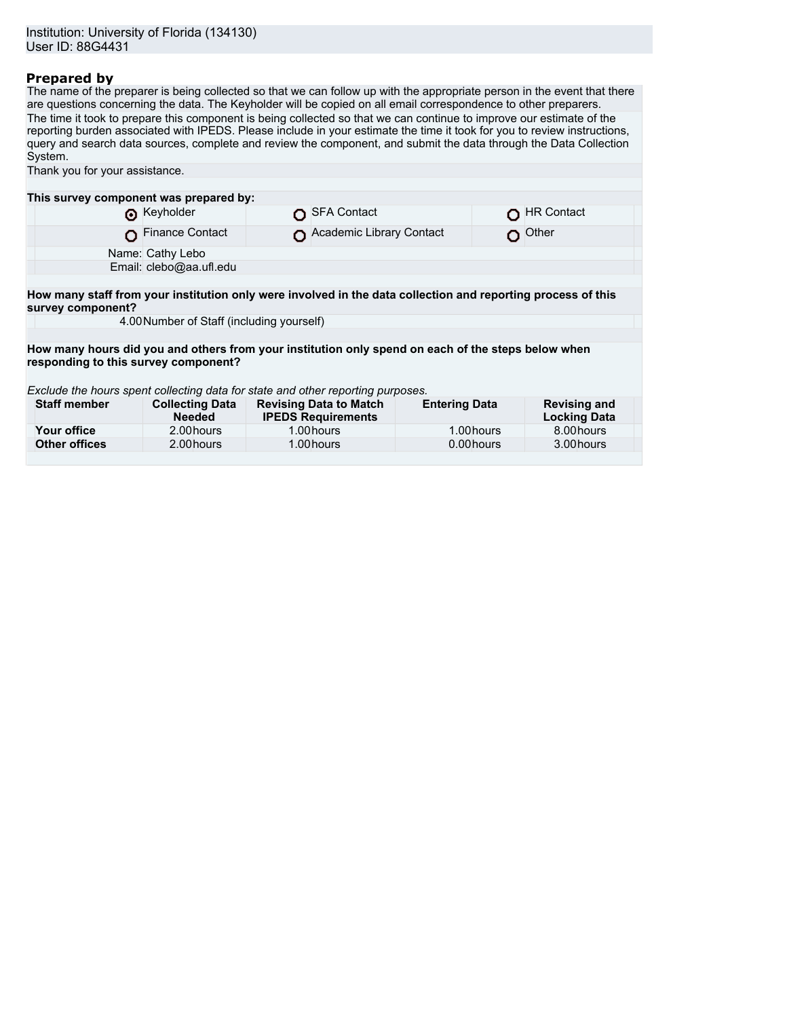## **Prepared by**

The name of the preparer is being collected so that we can follow up with the appropriate person in the event that there are questions concerning the data. The Keyholder will be copied on all email correspondence to other preparers. The time it took to prepare this component is being collected so that we can continue to improve our estimate of the reporting burden associated with IPEDS. Please include in your estimate the time it took for you to review instructions, query and search data sources, complete and review the component, and submit the data through the Data Collection System.

| Thank you for your assistance.                                                                     |                                           |                                                                                                              |                      |                                            |  |
|----------------------------------------------------------------------------------------------------|-------------------------------------------|--------------------------------------------------------------------------------------------------------------|----------------------|--------------------------------------------|--|
|                                                                                                    |                                           |                                                                                                              |                      |                                            |  |
| This survey component was prepared by:                                                             |                                           |                                                                                                              |                      |                                            |  |
|                                                                                                    | Reyholder                                 | SFA Contact                                                                                                  |                      | <b>HR Contact</b>                          |  |
|                                                                                                    | <b>Finance Contact</b>                    | Academic Library Contact                                                                                     |                      | $\Omega$ Other                             |  |
|                                                                                                    | Name: Cathy Lebo                          |                                                                                                              |                      |                                            |  |
|                                                                                                    | Email: clebo@aa.ufl.edu                   |                                                                                                              |                      |                                            |  |
|                                                                                                    |                                           |                                                                                                              |                      |                                            |  |
| survey component?                                                                                  |                                           | How many staff from your institution only were involved in the data collection and reporting process of this |                      |                                            |  |
|                                                                                                    | 4.00 Number of Staff (including yourself) |                                                                                                              |                      |                                            |  |
|                                                                                                    |                                           |                                                                                                              |                      |                                            |  |
| How many hours did you and others from your institution only spend on each of the steps below when |                                           |                                                                                                              |                      |                                            |  |
| responding to this survey component?                                                               |                                           |                                                                                                              |                      |                                            |  |
|                                                                                                    |                                           |                                                                                                              |                      |                                            |  |
| Exclude the hours spent collecting data for state and other reporting purposes.                    |                                           |                                                                                                              |                      |                                            |  |
| <b>Staff member</b>                                                                                | <b>Collecting Data</b><br><b>Needed</b>   | <b>Revising Data to Match</b><br><b>IPEDS Requirements</b>                                                   | <b>Entering Data</b> | <b>Revising and</b><br><b>Locking Data</b> |  |
| Your office                                                                                        | 2.00 hours                                | 1.00 hours                                                                                                   | 1.00 hours           | 8.00 hours                                 |  |
| <b>Other offices</b>                                                                               | 2.00 hours                                | 1.00 hours                                                                                                   | 0.00 hours           | 3.00 hours                                 |  |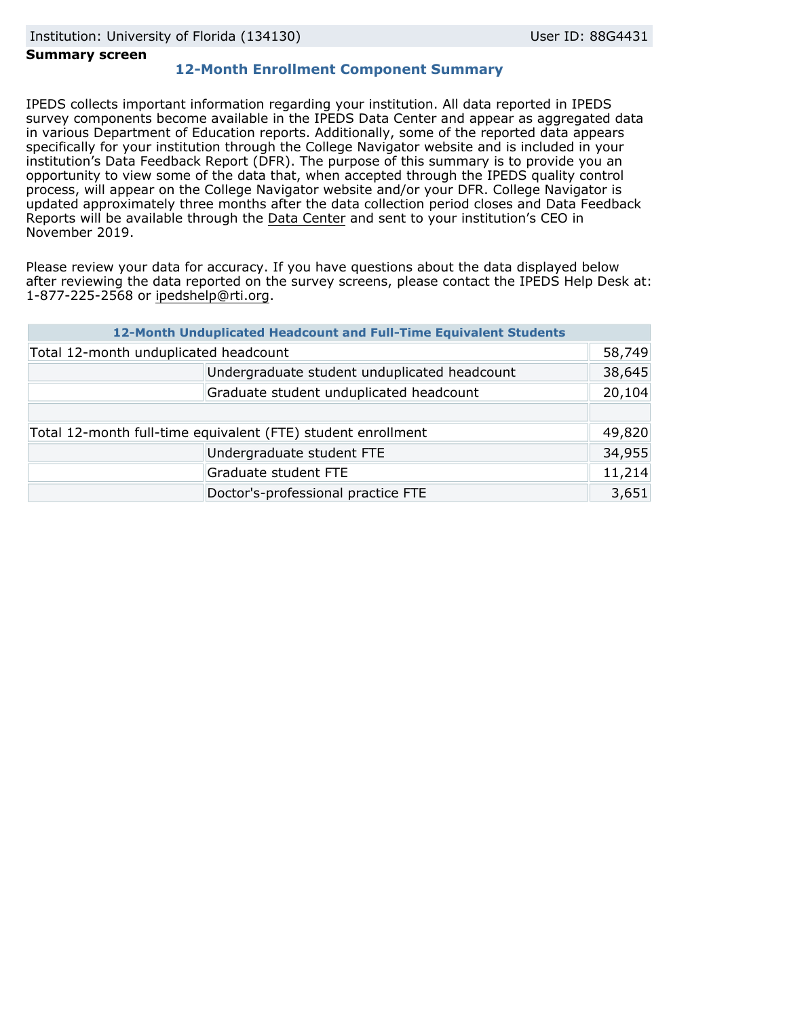### **Summary screen**

# **12-Month Enrollment Component Summary**

IPEDS collects important information regarding your institution. All data reported in IPEDS survey components become available in the IPEDS Data Center and appear as aggregated data in various Department of Education reports. Additionally, some of the reported data appears specifically for your institution through the College Navigator website and is included in your institution's Data Feedback Report (DFR). The purpose of this summary is to provide you an opportunity to view some of the data that, when accepted through the IPEDS quality control process, will appear on the College Navigator website and/or your DFR. College Navigator is updated approximately three months after the data collection period closes and Data Feedback Reports will be available through the [Data Center](https://nces.ed.gov/ipeds/use-the-data) and sent to your institution's CEO in November 2019.

Please review your data for accuracy. If you have questions about the data displayed below after reviewing the data reported on the survey screens, please contact the IPEDS Help Desk at: 1-877-225-2568 or ipedshelp@rti.org.

|                                                              | 12-Month Unduplicated Headcount and Full-Time Equivalent Students |        |
|--------------------------------------------------------------|-------------------------------------------------------------------|--------|
| Total 12-month unduplicated headcount                        |                                                                   | 58,749 |
|                                                              | Undergraduate student unduplicated headcount                      | 38,645 |
|                                                              | Graduate student unduplicated headcount                           | 20,104 |
|                                                              |                                                                   |        |
| Total 12-month full-time equivalent (FTE) student enrollment |                                                                   | 49,820 |
|                                                              | Undergraduate student FTE                                         | 34,955 |
|                                                              | Graduate student FTE                                              | 11,214 |
|                                                              | Doctor's-professional practice FTE                                | 3,651  |